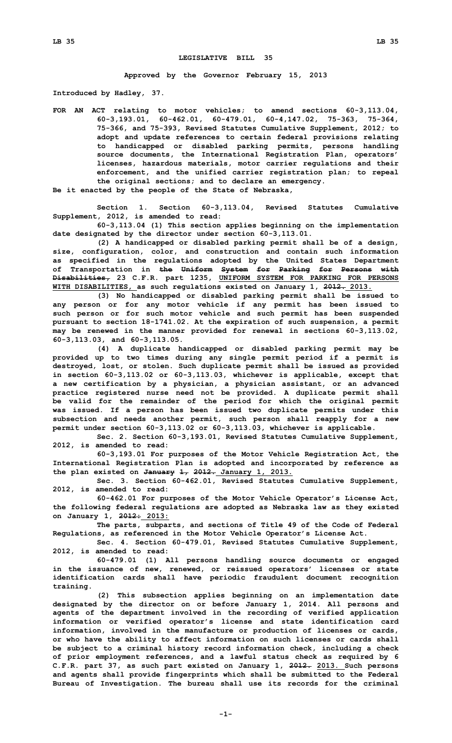## **LEGISLATIVE BILL 35**

**Approved by the Governor February 15, 2013**

**Introduced by Hadley, 37.**

**FOR AN ACT relating to motor vehicles; to amend sections 60-3,113.04, 60-3,193.01, 60-462.01, 60-479.01, 60-4,147.02, 75-363, 75-364, 75-366, and 75-393, Revised Statutes Cumulative Supplement, 2012; to adopt and update references to certain federal provisions relating to handicapped or disabled parking permits, persons handling source documents, the International Registration Plan, operators' licenses, hazardous materials, motor carrier regulations and their enforcement, and the unified carrier registration plan; to repeal the original sections; and to declare an emergency.**

**Be it enacted by the people of the State of Nebraska,**

**Section 1. Section 60-3,113.04, Revised Statutes Cumulative Supplement, 2012, is amended to read:**

**60-3,113.04 (1) This section applies beginning on the implementation date designated by the director under section 60-3,113.01.**

**(2) <sup>A</sup> handicapped or disabled parking permit shall be of <sup>a</sup> design, size, configuration, color, and construction and contain such information as specified in the regulations adopted by the United States Department of Transportation in the Uniform System for Parking for Persons with Disabilities, 23 C.F.R. part 1235, UNIFORM SYSTEM FOR PARKING FOR PERSONS WITH DISABILITIES, as such regulations existed on January 1, 2012. 2013.**

**(3) No handicapped or disabled parking permit shall be issued to any person or for any motor vehicle if any permit has been issued to such person or for such motor vehicle and such permit has been suspended pursuant to section 18-1741.02. At the expiration of such suspension, <sup>a</sup> permit may be renewed in the manner provided for renewal in sections 60-3,113.02, 60-3,113.03, and 60-3,113.05.**

**(4) <sup>A</sup> duplicate handicapped or disabled parking permit may be provided up to two times during any single permit period if <sup>a</sup> permit is destroyed, lost, or stolen. Such duplicate permit shall be issued as provided in section 60-3,113.02 or 60-3,113.03, whichever is applicable, except that <sup>a</sup> new certification by <sup>a</sup> physician, <sup>a</sup> physician assistant, or an advanced practice registered nurse need not be provided. A duplicate permit shall be valid for the remainder of the period for which the original permit was issued. If <sup>a</sup> person has been issued two duplicate permits under this subsection and needs another permit, such person shall reapply for <sup>a</sup> new permit under section 60-3,113.02 or 60-3,113.03, whichever is applicable.**

**Sec. 2. Section 60-3,193.01, Revised Statutes Cumulative Supplement, 2012, is amended to read:**

**60-3,193.01 For purposes of the Motor Vehicle Registration Act, the International Registration Plan is adopted and incorporated by reference as the plan existed on January 1, 2012. January 1, 2013.**

**Sec. 3. Section 60-462.01, Revised Statutes Cumulative Supplement, 2012, is amended to read:**

**60-462.01 For purposes of the Motor Vehicle Operator's License Act, the following federal regulations are adopted as Nebraska law as they existed on January 1, 2012: 2013:**

**The parts, subparts, and sections of Title 49 of the Code of Federal Regulations, as referenced in the Motor Vehicle Operator's License Act.**

**Sec. 4. Section 60-479.01, Revised Statutes Cumulative Supplement, 2012, is amended to read:**

**60-479.01 (1) All persons handling source documents or engaged in the issuance of new, renewed, or reissued operators' licenses or state identification cards shall have periodic fraudulent document recognition training.**

**(2) This subsection applies beginning on an implementation date designated by the director on or before January 1, 2014. All persons and agents of the department involved in the recording of verified application information or verified operator's license and state identification card information, involved in the manufacture or production of licenses or cards, or who have the ability to affect information on such licenses or cards shall be subject to <sup>a</sup> criminal history record information check, including <sup>a</sup> check of prior employment references, and <sup>a</sup> lawful status check as required by 6 C.F.R. part 37, as such part existed on January 1, 2012. 2013. Such persons and agents shall provide fingerprints which shall be submitted to the Federal Bureau of Investigation. The bureau shall use its records for the criminal**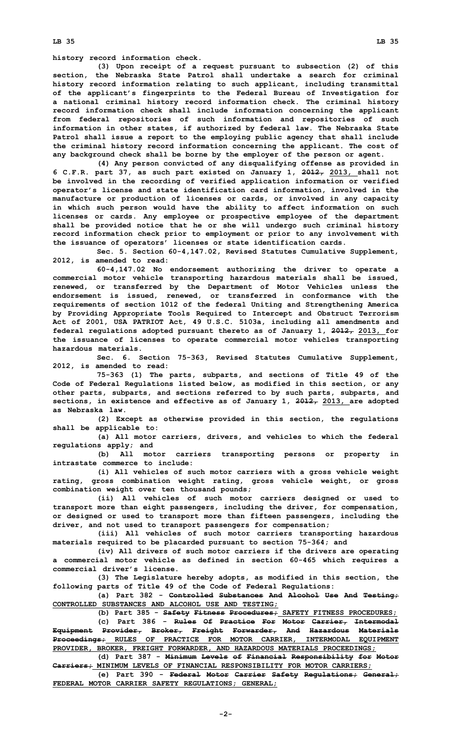**history record information check.**

**(3) Upon receipt of <sup>a</sup> request pursuant to subsection (2) of this section, the Nebraska State Patrol shall undertake <sup>a</sup> search for criminal history record information relating to such applicant, including transmittal of the applicant's fingerprints to the Federal Bureau of Investigation for <sup>a</sup> national criminal history record information check. The criminal history record information check shall include information concerning the applicant from federal repositories of such information and repositories of such information in other states, if authorized by federal law. The Nebraska State Patrol shall issue <sup>a</sup> report to the employing public agency that shall include the criminal history record information concerning the applicant. The cost of any background check shall be borne by the employer of the person or agent.**

**(4) Any person convicted of any disqualifying offense as provided in 6 C.F.R. part 37, as such part existed on January 1, 2012, 2013, shall not be involved in the recording of verified application information or verified operator's license and state identification card information, involved in the manufacture or production of licenses or cards, or involved in any capacity in which such person would have the ability to affect information on such licenses or cards. Any employee or prospective employee of the department shall be provided notice that he or she will undergo such criminal history record information check prior to employment or prior to any involvement with the issuance of operators' licenses or state identification cards.**

**Sec. 5. Section 60-4,147.02, Revised Statutes Cumulative Supplement, 2012, is amended to read:**

**60-4,147.02 No endorsement authorizing the driver to operate <sup>a</sup> commercial motor vehicle transporting hazardous materials shall be issued, renewed, or transferred by the Department of Motor Vehicles unless the endorsement is issued, renewed, or transferred in conformance with the requirements of section 1012 of the federal Uniting and Strengthening America by Providing Appropriate Tools Required to Intercept and Obstruct Terrorism Act of 2001, USA PATRIOT Act, 49 U.S.C. 5103a, including all amendments and federal regulations adopted pursuant thereto as of January 1, 2012, 2013, for the issuance of licenses to operate commercial motor vehicles transporting hazardous materials.**

**Sec. 6. Section 75-363, Revised Statutes Cumulative Supplement, 2012, is amended to read:**

**75-363 (1) The parts, subparts, and sections of Title 49 of the Code of Federal Regulations listed below, as modified in this section, or any other parts, subparts, and sections referred to by such parts, subparts, and sections, in existence and effective as of January 1, 2012, 2013, are adopted as Nebraska law.**

**(2) Except as otherwise provided in this section, the regulations shall be applicable to:**

**(a) All motor carriers, drivers, and vehicles to which the federal regulations apply; and**

**(b) All motor carriers transporting persons or property in intrastate commerce to include:**

**(i) All vehicles of such motor carriers with <sup>a</sup> gross vehicle weight rating, gross combination weight rating, gross vehicle weight, or gross combination weight over ten thousand pounds;**

**(ii) All vehicles of such motor carriers designed or used to transport more than eight passengers, including the driver, for compensation, or designed or used to transport more than fifteen passengers, including the driver, and not used to transport passengers for compensation;**

**(iii) All vehicles of such motor carriers transporting hazardous materials required to be placarded pursuant to section 75-364; and**

**(iv) All drivers of such motor carriers if the drivers are operating <sup>a</sup> commercial motor vehicle as defined in section 60-465 which requires <sup>a</sup> commercial driver's license.**

**(3) The Legislature hereby adopts, as modified in this section, the following parts of Title 49 of the Code of Federal Regulations:**

**(a) Part 382 - Controlled Substances And Alcohol Use And Testing; CONTROLLED SUBSTANCES AND ALCOHOL USE AND TESTING;**

**(b) Part 385 - Safety Fitness Procedures; SAFETY FITNESS PROCEDURES;**

**(c) Part 386 - Rules Of Practice For Motor Carrier, Intermodal Equipment Provider, Broker, Freight Forwarder, And Hazardous Materials Proceedings; RULES OF PRACTICE FOR MOTOR CARRIER, INTERMODAL EQUIPMENT PROVIDER, BROKER, FREIGHT FORWARDER, AND HAZARDOUS MATERIALS PROCEEDINGS;**

**(d) Part 387 - Minimum Levels of Financial Responsibility for Motor Carriers; MINIMUM LEVELS OF FINANCIAL RESPONSIBILITY FOR MOTOR CARRIERS;**

**(e) Part 390 - Federal Motor Carrier Safety Regulations; General; FEDERAL MOTOR CARRIER SAFETY REGULATIONS; GENERAL;**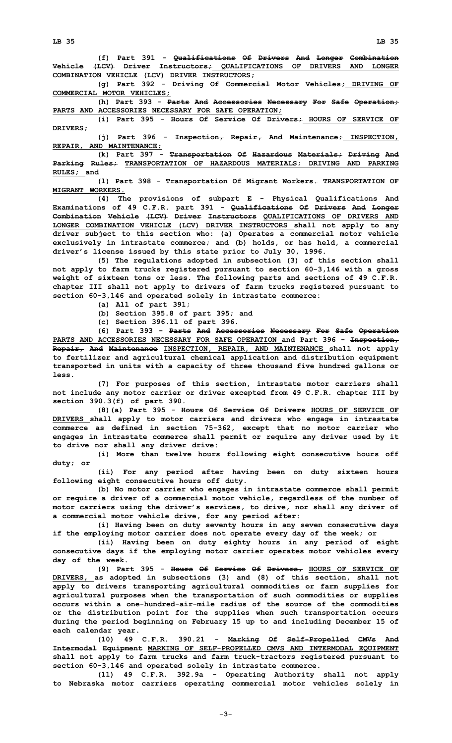**LB 35 LB 35**

**(f) Part 391 - Qualifications Of Drivers And Longer Combination Vehicle (LCV) Driver Instructors; QUALIFICATIONS OF DRIVERS AND LONGER COMBINATION VEHICLE (LCV) DRIVER INSTRUCTORS;**

**(g) Part 392 - Driving Of Commercial Motor Vehicles; DRIVING OF COMMERCIAL MOTOR VEHICLES;**

**(h) Part 393 - Parts And Accessories Necessary For Safe Operation; PARTS AND ACCESSORIES NECESSARY FOR SAFE OPERATION;**

**(i) Part 395 - Hours Of Service Of Drivers; HOURS OF SERVICE OF DRIVERS;**

**(j) Part 396 - Inspection, Repair, And Maintenance; INSPECTION, REPAIR, AND MAINTENANCE;**

**(k) Part 397 - Transportation Of Hazardous Materials; Driving And Parking Rules; TRANSPORTATION OF HAZARDOUS MATERIALS; DRIVING AND PARKING RULES; and**

**(l) Part 398 - Transportation Of Migrant Workers. TRANSPORTATION OF MIGRANT WORKERS.**

**(4) The provisions of subpart <sup>E</sup> - Physical Qualifications And Examinations of 49 C.F.R. part 391 - Qualifications Of Drivers And Longer Combination Vehicle (LCV) Driver Instructors QUALIFICATIONS OF DRIVERS AND LONGER COMBINATION VEHICLE (LCV) DRIVER INSTRUCTORS shall not apply to any driver subject to this section who: (a) Operates <sup>a</sup> commercial motor vehicle exclusively in intrastate commerce; and (b) holds, or has held, <sup>a</sup> commercial driver's license issued by this state prior to July 30, 1996.**

**(5) The regulations adopted in subsection (3) of this section shall not apply to farm trucks registered pursuant to section 60-3,146 with <sup>a</sup> gross weight of sixteen tons or less. The following parts and sections of 49 C.F.R. chapter III shall not apply to drivers of farm trucks registered pursuant to section 60-3,146 and operated solely in intrastate commerce:**

- **(a) All of part 391;**
- **(b) Section 395.8 of part 395; and**
- **(c) Section 396.11 of part 396.**

**(6) Part 393 - Parts And Accessories Necessary For Safe Operation PARTS AND ACCESSORIES NECESSARY FOR SAFE OPERATION and Part 396 - Inspection, Repair, And Maintenance INSPECTION, REPAIR, AND MAINTENANCE shall not apply to fertilizer and agricultural chemical application and distribution equipment transported in units with <sup>a</sup> capacity of three thousand five hundred gallons or less.**

**(7) For purposes of this section, intrastate motor carriers shall not include any motor carrier or driver excepted from 49 C.F.R. chapter III by section 390.3(f) of part 390.**

**(8)(a) Part 395 - Hours Of Service Of Drivers HOURS OF SERVICE OF DRIVERS shall apply to motor carriers and drivers who engage in intrastate commerce as defined in section 75-362, except that no motor carrier who engages in intrastate commerce shall permit or require any driver used by it to drive nor shall any driver drive:**

**(i) More than twelve hours following eight consecutive hours off duty; or**

**(ii) For any period after having been on duty sixteen hours following eight consecutive hours off duty.**

**(b) No motor carrier who engages in intrastate commerce shall permit or require <sup>a</sup> driver of <sup>a</sup> commercial motor vehicle, regardless of the number of motor carriers using the driver's services, to drive, nor shall any driver of <sup>a</sup> commercial motor vehicle drive, for any period after:**

**(i) Having been on duty seventy hours in any seven consecutive days if the employing motor carrier does not operate every day of the week; or**

**(ii) Having been on duty eighty hours in any period of eight consecutive days if the employing motor carrier operates motor vehicles every day of the week.**

**(9) Part 395 - Hours Of Service Of Drivers, HOURS OF SERVICE OF DRIVERS, as adopted in subsections (3) and (8) of this section, shall not apply to drivers transporting agricultural commodities or farm supplies for agricultural purposes when the transportation of such commodities or supplies occurs within a one-hundred-air-mile radius of the source of the commodities or the distribution point for the supplies when such transportation occurs during the period beginning on February 15 up to and including December 15 of each calendar year.**

**(10) 49 C.F.R. 390.21 - Marking Of Self-Propelled CMVs And Intermodal Equipment MARKING OF SELF-PROPELLED CMVS AND INTERMODAL EQUIPMENT shall not apply to farm trucks and farm truck-tractors registered pursuant to section 60-3,146 and operated solely in intrastate commerce.**

**(11) 49 C.F.R. 392.9a - Operating Authority shall not apply to Nebraska motor carriers operating commercial motor vehicles solely in**